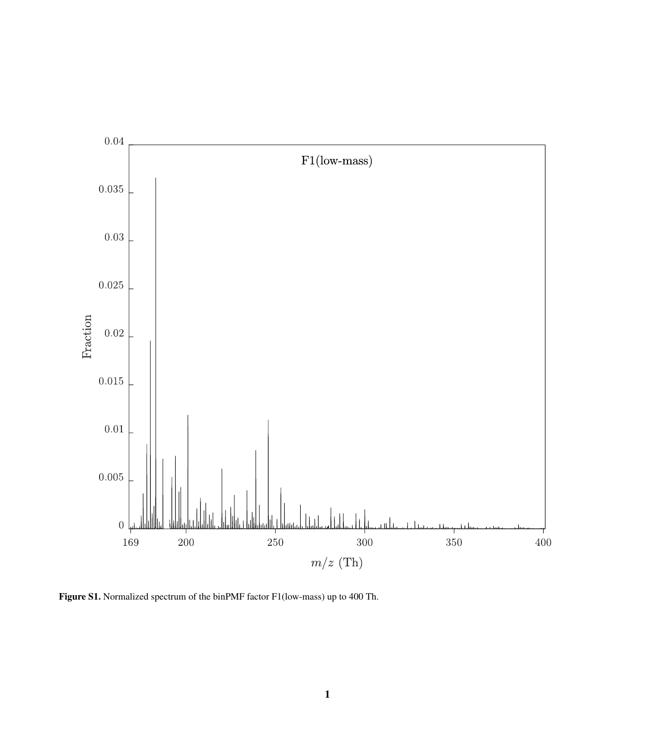

Figure S1. Normalized spectrum of the binPMF factor F1(low-mass) up to 400 Th.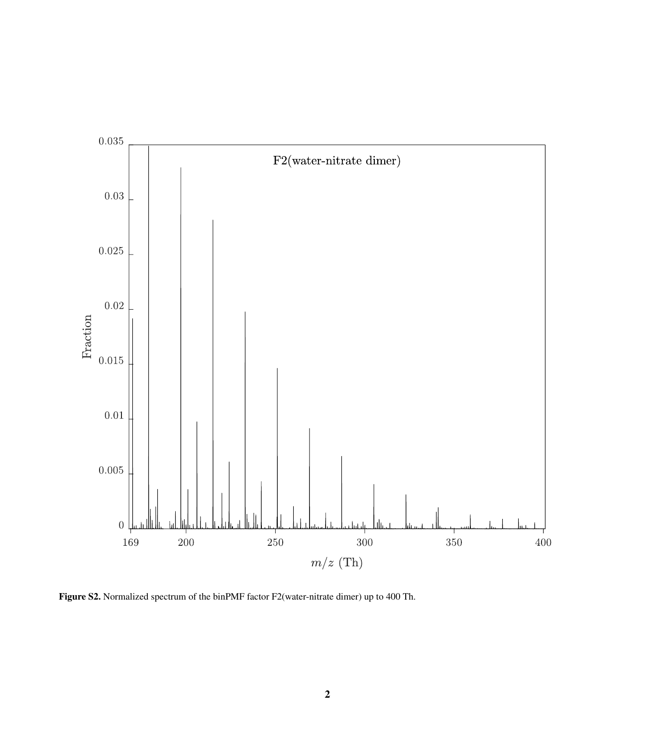

Figure S2. Normalized spectrum of the binPMF factor F2(water-nitrate dimer) up to 400 Th.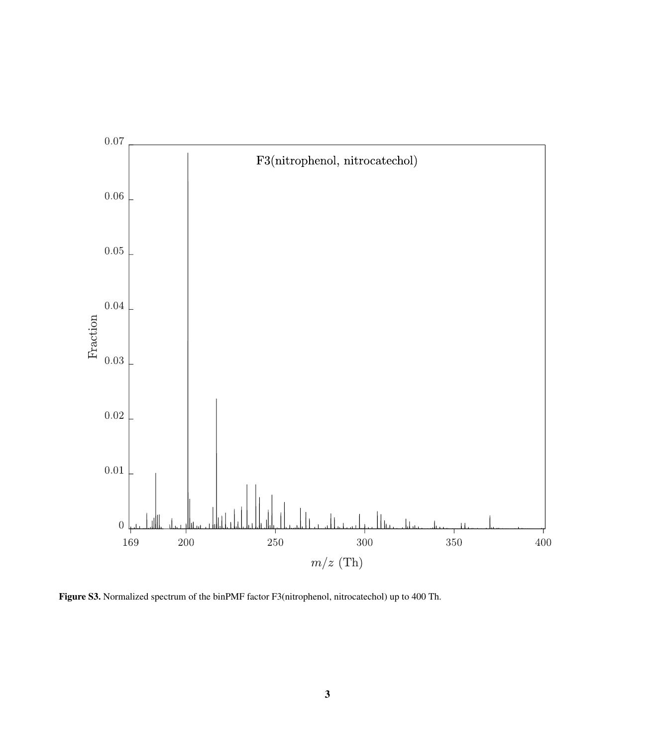

Figure S3. Normalized spectrum of the binPMF factor F3(nitrophenol, nitrocatechol) up to 400 Th.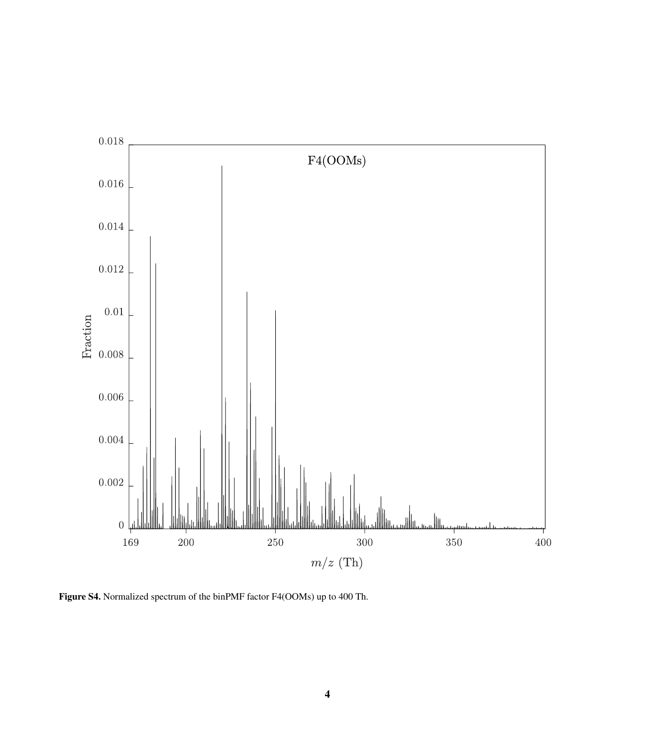

Figure S4. Normalized spectrum of the binPMF factor F4(OOMs) up to 400 Th.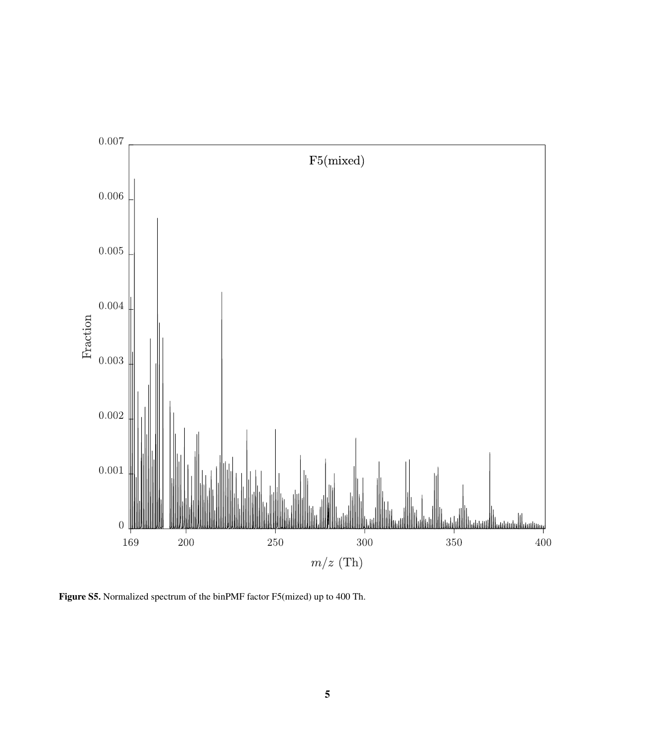

Figure S5. Normalized spectrum of the binPMF factor F5(mized) up to 400 Th.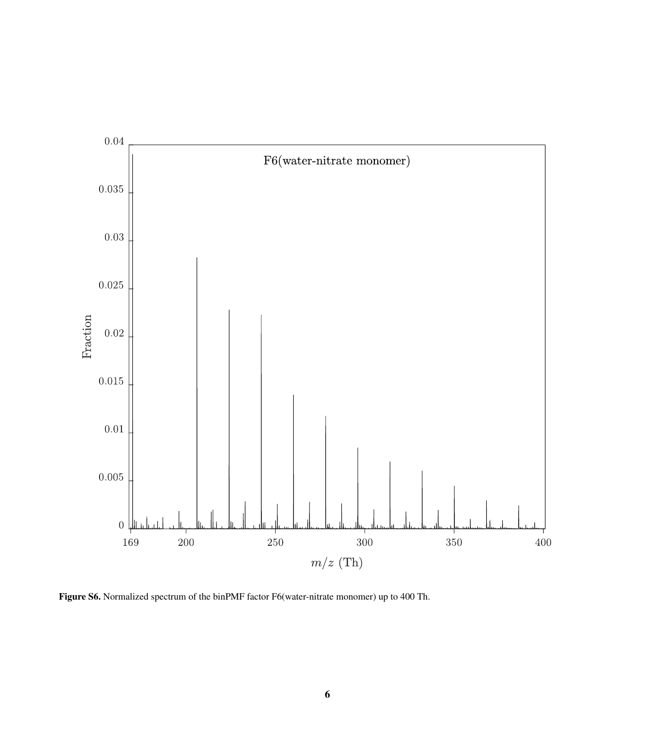

Figure S6. Normalized spectrum of the binPMF factor F6(water-nitrate monomer) up to 400 Th.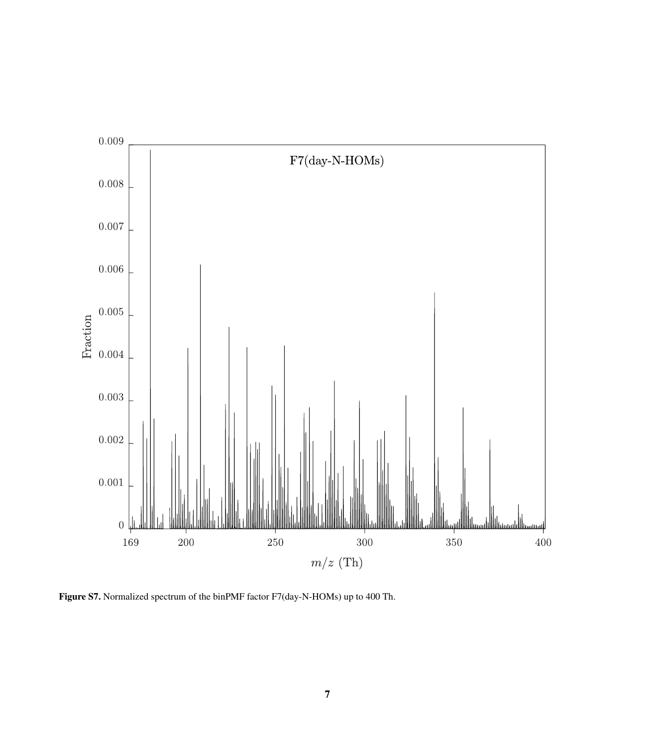

Figure S7. Normalized spectrum of the binPMF factor F7(day-N-HOMs) up to 400 Th.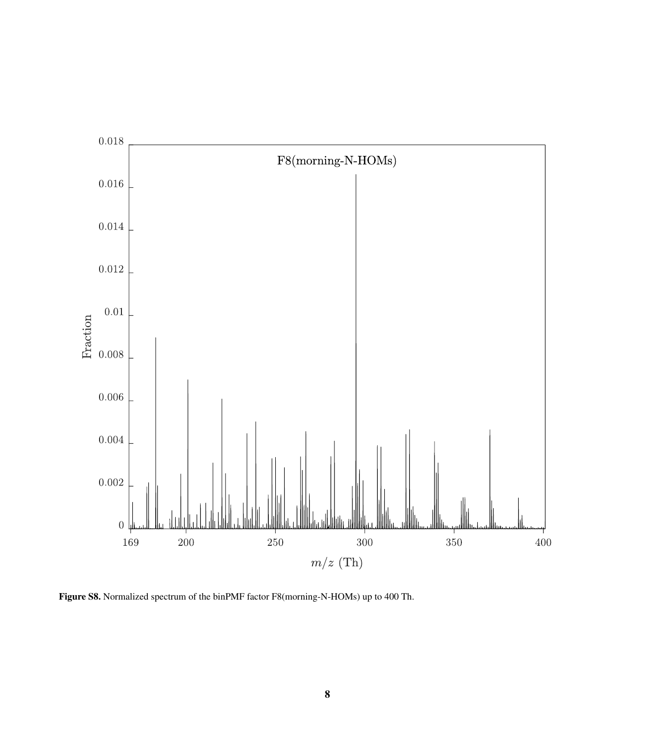

Figure S8. Normalized spectrum of the binPMF factor F8(morning-N-HOMs) up to 400 Th.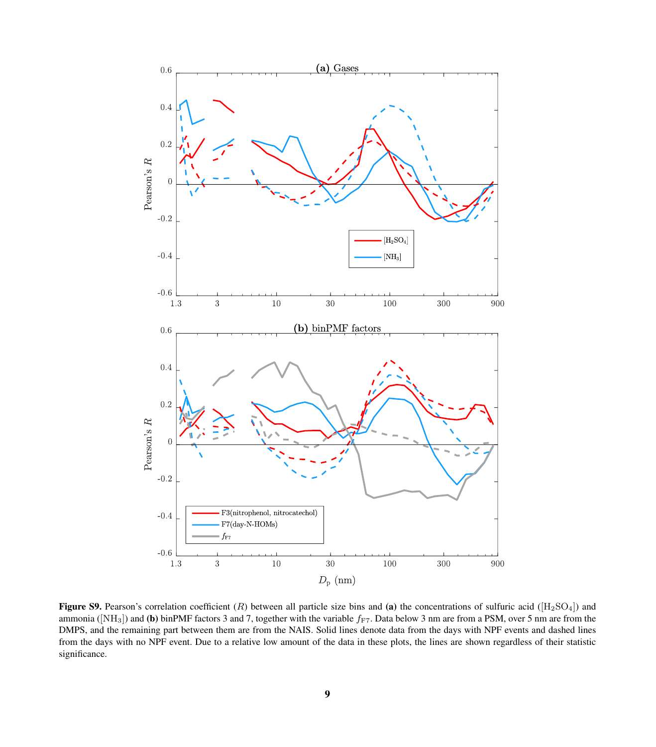

**Figure S9.** Pearson's correlation coefficient  $(R)$  between all particle size bins and (a) the concentrations of sulfuric acid ( $[H_2SO_4]$ ) and ammonia ( $[NH_3]$ ) and (b) binPMF factors 3 and 7, together with the variable  $f_{FT}$ . Data below 3 nm are from a PSM, over 5 nm are from the DMPS, and the remaining part between them are from the NAIS. Solid lines denote data from the days with NPF events and dashed lines from the days with no NPF event. Due to a relative low amount of the data in these plots, the lines are shown regardless of their statistic significance.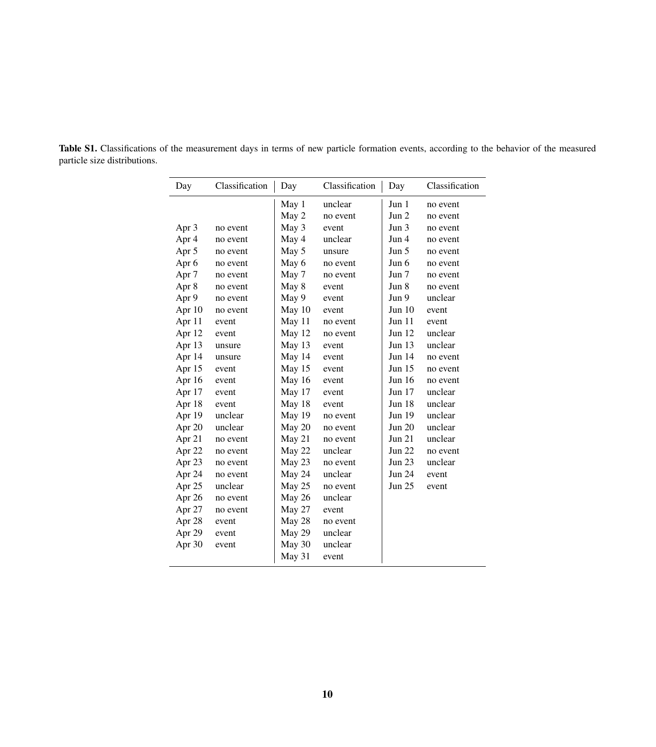| Day              | Classification | Day      | Classification | Day      | Classification |  |
|------------------|----------------|----------|----------------|----------|----------------|--|
|                  |                | May 1    | unclear        | Jun 1    | no event       |  |
|                  |                | May 2    | no event       | Jun 2    | no event       |  |
| Apr 3            | no event       | May 3    | event          | Jun 3    | no event       |  |
| Apr 4            | no event       | May 4    | unclear        | Jun 4    | no event       |  |
| Apr 5            | no event       | May 5    | unsure         | Jun 5    | no event       |  |
| Apr <sub>6</sub> | no event       | May 6    | no event       | Jun 6    | no event       |  |
| Apr <sub>7</sub> | no event       | May 7    | no event       | Jun 7    | no event       |  |
| Apr 8            | no event       | May 8    | event          | Jun 8    | no event       |  |
| Apr 9            | no event       | May 9    | event          | Jun 9    | unclear        |  |
| Apr 10           | no event       | May 10   | event          | Jun 10   | event          |  |
| Apr 11           | event          | May 11   | no event       | Jun 11   | event          |  |
| Apr 12           | event          | May 12   | no event       | Jun 12   | unclear        |  |
| Apr 13           | unsure         | May 13   | event          | Jun 13   | unclear        |  |
| Apr 14           | unsure         | May 14   | event          | Jun 14   | no event       |  |
| Apr 15           | event          | May 15   | event          | Jun 15   | no event       |  |
| Apr 16           | event          | May $16$ | event          | Jun 16   | no event       |  |
| Apr 17           | event          | May 17   | event          | Jun $17$ | unclear        |  |
| Apr 18           | event          | May 18   | event          | Jun 18   | unclear        |  |
| Apr 19           | unclear        | May 19   | no event       | Jun 19   | unclear        |  |
| Apr 20           | unclear        | May 20   | no event       | Jun 20   | unclear        |  |
| Apr 21           | no event       | May 21   | no event       | Jun 21   | unclear        |  |
| Apr 22           | no event       | May 22   | unclear        | Jun 22   | no event       |  |
| Apr 23           | no event       | May 23   | no event       | Jun 23   | unclear        |  |
| Apr 24           | no event       | May 24   | unclear        | Jun 24   | event          |  |
| Apr 25           | unclear        | May 25   | no event       | Jun 25   | event          |  |
| Apr 26           | no event       | May 26   | unclear        |          |                |  |
| Apr 27           | no event       | May 27   | event          |          |                |  |
| Apr 28           | event          | May 28   | no event       |          |                |  |
| Apr 29           | event          | May 29   | unclear        |          |                |  |
| Apr 30           | event          | May 30   | unclear        |          |                |  |
|                  |                | May 31   | event          |          |                |  |

Table S1. Classifications of the measurement days in terms of new particle formation events, according to the behavior of the measured particle size distributions.